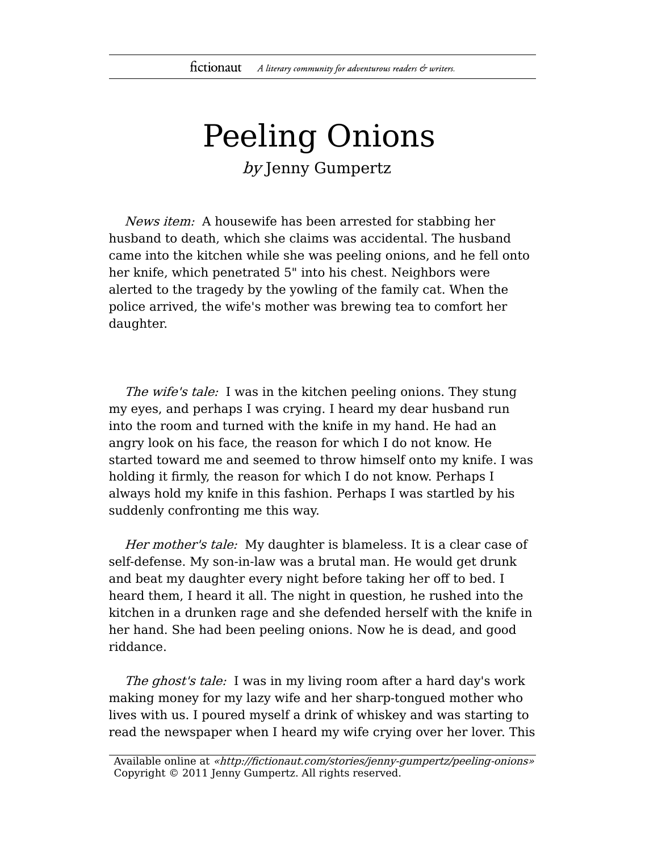## Peeling Onions by Jenny Gumpertz

News item: A housewife has been arrested for stabbing her husband to death, which she claims was accidental. The husband came into the kitchen while she was peeling onions, and he fell onto her knife, which penetrated 5" into his chest. Neighbors were alerted to the tragedy by the yowling of the family cat. When the police arrived, the wife's mother was brewing tea to comfort her daughter.

The wife's tale: I was in the kitchen peeling onions. They stung my eyes, and perhaps I was crying. I heard my dear husband run into the room and turned with the knife in my hand. He had an angry look on his face, the reason for which I do not know. He started toward me and seemed to throw himself onto my knife. I was holding it firmly, the reason for which I do not know. Perhaps I always hold my knife in this fashion. Perhaps I was startled by his suddenly confronting me this way.

Her mother's tale: My daughter is blameless. It is a clear case of self-defense. My son-in-law was a brutal man. He would get drunk and beat my daughter every night before taking her off to bed. I heard them, I heard it all. The night in question, he rushed into the kitchen in a drunken rage and she defended herself with the knife in her hand. She had been peeling onions. Now he is dead, and good riddance.

The ghost's tale: I was in my living room after a hard day's work making money for my lazy wife and her sharp-tongued mother who lives with us. I poured myself a drink of whiskey and was starting to read the newspaper when I heard my wife crying over her lover. This

Available online at «http://fictionaut.com/stories/jenny-gumpertz/peeling-onions» Copyright © 2011 Jenny Gumpertz. All rights reserved.